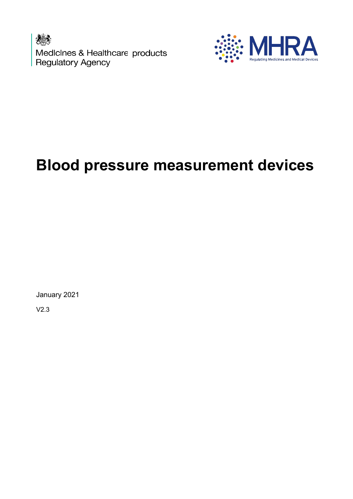Medicines & Healthcare products<br>Regulatory Agency



# Blood pressure measurement devices

January 2021

V2.3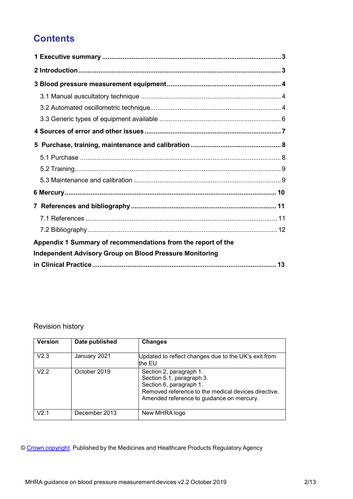# **Contents**

| Appendix 1 Summary of recommendations from the report of the   |  |
|----------------------------------------------------------------|--|
| <b>Independent Advisory Group on Blood Pressure Monitoring</b> |  |
|                                                                |  |

#### Revision history

| <b>Version</b> | Date published | <b>Changes</b>                                                                                                                                                                      |
|----------------|----------------|-------------------------------------------------------------------------------------------------------------------------------------------------------------------------------------|
| V2.3           | January 2021   | Updated to reflect changes due to the UK's exit from<br>the EU                                                                                                                      |
| V2.2           | October 2019   | Section 2, paragraph 1.<br>Section 5.1, paragraph 3.<br>Section 6, paragraph 1.<br>Removed reference to the medical devices directive.<br>Amended reference to guidance on mercury. |
| V2 1           | December 2013  | New MHRA logo                                                                                                                                                                       |

© Crown copyright. Published by the Medicines and Healthcare Products Regulatory Agency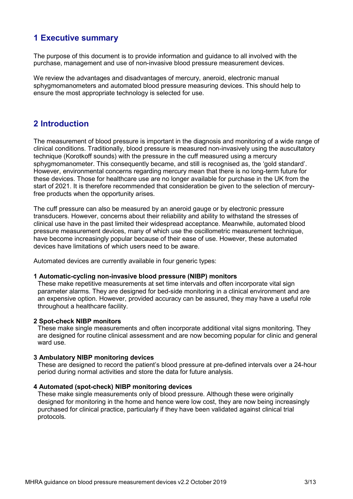# 1 Executive summary

The purpose of this document is to provide information and guidance to all involved with the purchase, management and use of non-invasive blood pressure measurement devices.

We review the advantages and disadvantages of mercury, aneroid, electronic manual sphygmomanometers and automated blood pressure measuring devices. This should help to ensure the most appropriate technology is selected for use.

# 2 Introduction

The measurement of blood pressure is important in the diagnosis and monitoring of a wide range of clinical conditions. Traditionally, blood pressure is measured non-invasively using the auscultatory technique (Korotkoff sounds) with the pressure in the cuff measured using a mercury sphygmomanometer. This consequently became, and still is recognised as, the 'gold standard'. However, environmental concerns regarding mercury mean that there is no long-term future for these devices. Those for healthcare use are no longer available for purchase in the UK from the start of 2021. It is therefore recommended that consideration be given to the selection of mercuryfree products when the opportunity arises.

The cuff pressure can also be measured by an aneroid gauge or by electronic pressure transducers. However, concerns about their reliability and ability to withstand the stresses of clinical use have in the past limited their widespread acceptance. Meanwhile, automated blood pressure measurement devices, many of which use the oscillometric measurement technique, have become increasingly popular because of their ease of use. However, these automated devices have limitations of which users need to be aware.

Automated devices are currently available in four generic types:

#### 1 Automatic-cycling non-invasive blood pressure (NIBP) monitors

These make repetitive measurements at set time intervals and often incorporate vital sign parameter alarms. They are designed for bed-side monitoring in a clinical environment and are an expensive option. However, provided accuracy can be assured, they may have a useful role throughout a healthcare facility.

#### 2 Spot-check NIBP monitors

These make single measurements and often incorporate additional vital signs monitoring. They are designed for routine clinical assessment and are now becoming popular for clinic and general ward use.

#### 3 Ambulatory NIBP monitoring devices

These are designed to record the patient's blood pressure at pre-defined intervals over a 24-hour period during normal activities and store the data for future analysis.

#### 4 Automated (spot-check) NIBP monitoring devices

These make single measurements only of blood pressure. Although these were originally designed for monitoring in the home and hence were low cost, they are now being increasingly purchased for clinical practice, particularly if they have been validated against clinical trial protocols.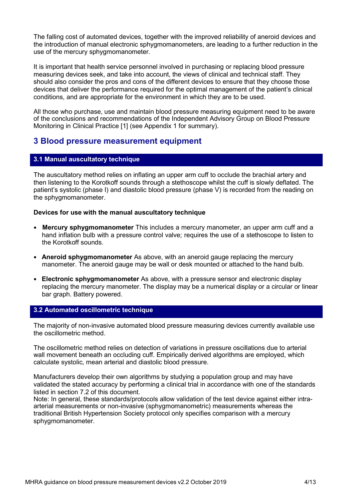The falling cost of automated devices, together with the improved reliability of aneroid devices and the introduction of manual electronic sphygmomanometers, are leading to a further reduction in the use of the mercury sphygmomanometer.

It is important that health service personnel involved in purchasing or replacing blood pressure measuring devices seek, and take into account, the views of clinical and technical staff. They should also consider the pros and cons of the different devices to ensure that they choose those devices that deliver the performance required for the optimal management of the patient's clinical conditions, and are appropriate for the environment in which they are to be used.

All those who purchase, use and maintain blood pressure measuring equipment need to be aware of the conclusions and recommendations of the Independent Advisory Group on Blood Pressure Monitoring in Clinical Practice [1] (see Appendix 1 for summary).

## 3 Blood pressure measurement equipment

#### 3.1 Manual auscultatory technique

The auscultatory method relies on inflating an upper arm cuff to occlude the brachial artery and then listening to the Korotkoff sounds through a stethoscope whilst the cuff is slowly deflated. The patient's systolic (phase I) and diastolic blood pressure (phase V) is recorded from the reading on the sphygmomanometer.

#### Devices for use with the manual auscultatory technique

- Mercury sphygmomanometer This includes a mercury manometer, an upper arm cuff and a hand inflation bulb with a pressure control valve; requires the use of a stethoscope to listen to the Korotkoff sounds.
- Aneroid sphygmomanometer As above, with an aneroid gauge replacing the mercury manometer. The aneroid gauge may be wall or desk mounted or attached to the hand bulb.
- Electronic sphygmomanometer As above, with a pressure sensor and electronic display replacing the mercury manometer. The display may be a numerical display or a circular or linear bar graph. Battery powered.

#### 3.2 Automated oscillometric technique

The majority of non-invasive automated blood pressure measuring devices currently available use the oscillometric method.

The oscillometric method relies on detection of variations in pressure oscillations due to arterial wall movement beneath an occluding cuff. Empirically derived algorithms are employed, which calculate systolic, mean arterial and diastolic blood pressure.

Manufacturers develop their own algorithms by studying a population group and may have validated the stated accuracy by performing a clinical trial in accordance with one of the standards listed in section 7.2 of this document.

Note: In general, these standards/protocols allow validation of the test device against either intraarterial measurements or non-invasive (sphygmomanometric) measurements whereas the traditional British Hypertension Society protocol only specifies comparison with a mercury sphygmomanometer.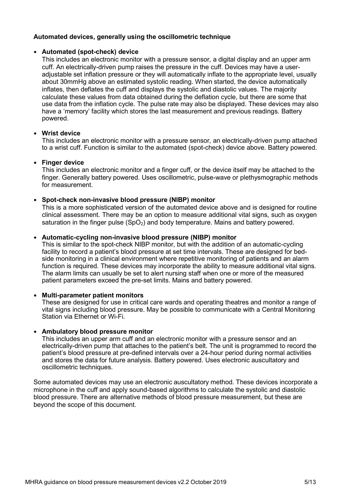#### Automated devices, generally using the oscillometric technique

#### • Automated (spot-check) device

This includes an electronic monitor with a pressure sensor, a digital display and an upper arm cuff. An electrically-driven pump raises the pressure in the cuff. Devices may have a useradjustable set inflation pressure or they will automatically inflate to the appropriate level, usually about 30mmHg above an estimated systolic reading. When started, the device automatically inflates, then deflates the cuff and displays the systolic and diastolic values. The majority calculate these values from data obtained during the deflation cycle, but there are some that use data from the inflation cycle. The pulse rate may also be displayed. These devices may also have a 'memory' facility which stores the last measurement and previous readings. Battery powered.

#### • Wrist device

This includes an electronic monitor with a pressure sensor, an electrically-driven pump attached to a wrist cuff. Function is similar to the automated (spot-check) device above. Battery powered.

#### • Finger device

This includes an electronic monitor and a finger cuff, or the device itself may be attached to the finger. Generally battery powered. Uses oscillometric, pulse-wave or plethysmographic methods for measurement.

#### • Spot-check non-invasive blood pressure (NIBP) monitor

This is a more sophisticated version of the automated device above and is designed for routine clinical assessment. There may be an option to measure additional vital signs, such as oxygen saturation in the finger pulse  $(SpO<sub>2</sub>)$  and body temperature. Mains and battery powered.

#### • Automatic-cycling non-invasive blood pressure (NIBP) monitor

This is similar to the spot-check NIBP monitor, but with the addition of an automatic-cycling facility to record a patient's blood pressure at set time intervals. These are designed for bedside monitoring in a clinical environment where repetitive monitoring of patients and an alarm function is required. These devices may incorporate the ability to measure additional vital signs. The alarm limits can usually be set to alert nursing staff when one or more of the measured patient parameters exceed the pre-set limits. Mains and battery powered.

#### • Multi-parameter patient monitors

These are designed for use in critical care wards and operating theatres and monitor a range of vital signs including blood pressure. May be possible to communicate with a Central Monitoring Station via Ethernet or Wi-Fi.

#### • Ambulatory blood pressure monitor

This includes an upper arm cuff and an electronic monitor with a pressure sensor and an electrically-driven pump that attaches to the patient's belt. The unit is programmed to record the patient's blood pressure at pre-defined intervals over a 24-hour period during normal activities and stores the data for future analysis. Battery powered. Uses electronic auscultatory and oscillometric techniques.

Some automated devices may use an electronic auscultatory method. These devices incorporate a microphone in the cuff and apply sound-based algorithms to calculate the systolic and diastolic blood pressure. There are alternative methods of blood pressure measurement, but these are beyond the scope of this document.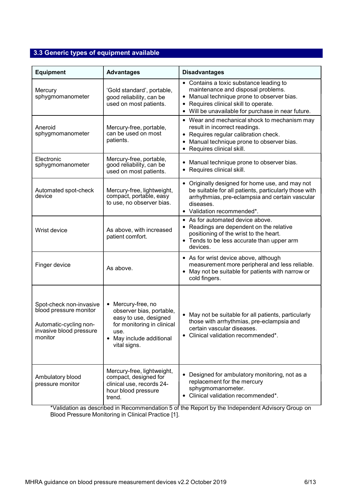# 3.3 Generic types of equipment available

| <b>Equipment</b>                                                                                                  | <b>Advantages</b>                                                                                                                                     | <b>Disadvantages</b>                                                                                                                                                                                                                |
|-------------------------------------------------------------------------------------------------------------------|-------------------------------------------------------------------------------------------------------------------------------------------------------|-------------------------------------------------------------------------------------------------------------------------------------------------------------------------------------------------------------------------------------|
| Mercury<br>sphygmomanometer                                                                                       | 'Gold standard', portable,<br>good reliability, can be<br>used on most patients.                                                                      | • Contains a toxic substance leading to<br>maintenance and disposal problems.<br>Manual technique prone to observer bias.<br>٠<br>Requires clinical skill to operate.<br>٠<br>Will be unavailable for purchase in near future.      |
| Aneroid<br>sphygmomanometer                                                                                       | Mercury-free, portable,<br>can be used on most<br>patients.                                                                                           | • Wear and mechanical shock to mechanism may<br>result in incorrect readings.<br>Requires regular calibration check.<br>$\bullet$<br>Manual technique prone to observer bias.<br>$\bullet$<br>Requires clinical skill.<br>$\bullet$ |
| Electronic<br>sphygmomanometer                                                                                    | Mercury-free, portable,<br>good reliability, can be<br>used on most patients.                                                                         | Manual technique prone to observer bias.<br>٠<br>Requires clinical skill.<br>$\bullet$                                                                                                                                              |
| Automated spot-check<br>device                                                                                    | Mercury-free, lightweight,<br>compact, portable, easy<br>to use, no observer bias.                                                                    | • Originally designed for home use, and may not<br>be suitable for all patients, particularly those with<br>arrhythmias, pre-eclampsia and certain vascular<br>diseases.<br>Validation recommended*.<br>$\bullet$                   |
| Wrist device                                                                                                      | As above, with increased<br>patient comfort.                                                                                                          | • As for automated device above.<br>Readings are dependent on the relative<br>$\bullet$<br>positioning of the wrist to the heart.<br>Tends to be less accurate than upper arm<br>$\bullet$<br>devices.                              |
| Finger device                                                                                                     | As above.                                                                                                                                             | • As for wrist device above, although<br>measurement more peripheral and less reliable.<br>May not be suitable for patients with narrow or<br>cold fingers.                                                                         |
| Spot-check non-invasive<br>blood pressure monitor<br>Automatic-cycling non-<br>invasive blood pressure<br>monitor | Mercury-free, no<br>observer bias, portable,<br>easy to use, designed<br>for monitoring in clinical<br>use.<br>May include additional<br>vital signs. | May not be suitable for all patients, particularly<br>$\bullet$<br>those with arrhythmias, pre-eclampsia and<br>certain vascular diseases.<br>Clinical validation recommended*.                                                     |
| Ambulatory blood<br>pressure monitor                                                                              | Mercury-free, lightweight,<br>compact, designed for<br>clinical use, records 24-<br>hour blood pressure<br>trend.                                     | • Designed for ambulatory monitoring, not as a<br>replacement for the mercury<br>sphygmomanometer.<br>Clinical validation recommended*.                                                                                             |

\*Validation as described in Recommendation 5 of the Report by the Independent Advisory Group on Blood Pressure Monitoring in Clinical Practice [1].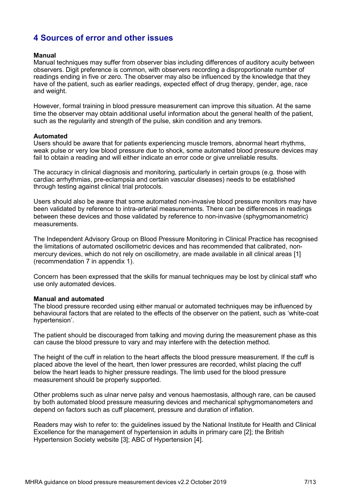# 4 Sources of error and other issues

#### Manual

Manual techniques may suffer from observer bias including differences of auditory acuity between observers. Digit preference is common, with observers recording a disproportionate number of readings ending in five or zero. The observer may also be influenced by the knowledge that they have of the patient, such as earlier readings, expected effect of drug therapy, gender, age, race and weight.

However, formal training in blood pressure measurement can improve this situation. At the same time the observer may obtain additional useful information about the general health of the patient, such as the regularity and strength of the pulse, skin condition and any tremors.

#### Automated

Users should be aware that for patients experiencing muscle tremors, abnormal heart rhythms, weak pulse or very low blood pressure due to shock, some automated blood pressure devices may fail to obtain a reading and will either indicate an error code or give unreliable results.

The accuracy in clinical diagnosis and monitoring, particularly in certain groups (e.g. those with cardiac arrhythmias, pre-eclampsia and certain vascular diseases) needs to be established through testing against clinical trial protocols.

Users should also be aware that some automated non-invasive blood pressure monitors may have been validated by reference to intra-arterial measurements. There can be differences in readings between these devices and those validated by reference to non-invasive (sphygmomanometric) measurements.

The Independent Advisory Group on Blood Pressure Monitoring in Clinical Practice has recognised the limitations of automated oscillometric devices and has recommended that calibrated, nonmercury devices, which do not rely on oscillometry, are made available in all clinical areas [1] (recommendation 7 in appendix 1).

Concern has been expressed that the skills for manual techniques may be lost by clinical staff who use only automated devices.

#### Manual and automated

The blood pressure recorded using either manual or automated techniques may be influenced by behavioural factors that are related to the effects of the observer on the patient, such as 'white-coat hypertension'.

The patient should be discouraged from talking and moving during the measurement phase as this can cause the blood pressure to vary and may interfere with the detection method.

The height of the cuff in relation to the heart affects the blood pressure measurement. If the cuff is placed above the level of the heart, then lower pressures are recorded, whilst placing the cuff below the heart leads to higher pressure readings. The limb used for the blood pressure measurement should be properly supported.

Other problems such as ulnar nerve palsy and venous haemostasis, although rare, can be caused by both automated blood pressure measuring devices and mechanical sphygmomanometers and depend on factors such as cuff placement, pressure and duration of inflation.

Readers may wish to refer to: the guidelines issued by the National Institute for Health and Clinical Excellence for the management of hypertension in adults in primary care [2]; the British Hypertension Society website [3]; ABC of Hypertension [4].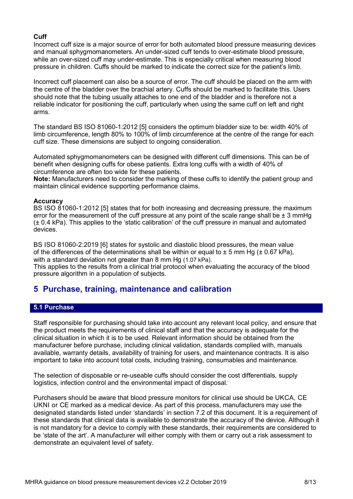#### Cuff

Incorrect cuff size is a major source of error for both automated blood pressure measuring devices and manual sphygmomanometers. An under-sized cuff tends to over-estimate blood pressure, while an over-sized cuff may under-estimate. This is especially critical when measuring blood pressure in children. Cuffs should be marked to indicate the correct size for the patient's limb.

Incorrect cuff placement can also be a source of error. The cuff should be placed on the arm with the centre of the bladder over the brachial artery. Cuffs should be marked to facilitate this. Users should note that the tubing usually attaches to one end of the bladder and is therefore not a reliable indicator for positioning the cuff, particularly when using the same cuff on left and right arms.

The standard BS ISO 81060-1:2012 [5] considers the optimum bladder size to be: width 40% of limb circumference, length 80% to 100% of limb circumference at the centre of the range for each cuff size. These dimensions are subject to ongoing consideration.

Automated sphygmomanometers can be designed with different cuff dimensions. This can be of benefit when designing cuffs for obese patients. Extra long cuffs with a width of 40% of circumference are often too wide for these patients.

Note: Manufacturers need to consider the marking of these cuffs to identify the patient group and maintain clinical evidence supporting performance claims.

#### **Accuracy**

BS ISO 81060-1:2012 [5] states that for both increasing and decreasing pressure, the maximum error for the measurement of the cuff pressure at any point of the scale range shall be  $\pm 3$  mmHg (± 0.4 kPa). This applies to the 'static calibration' of the cuff pressure in manual and automated devices.

BS ISO 81060-2:2019 [6] states for systolic and diastolic blood pressures, the mean value of the differences of the determinations shall be within or equal to  $\pm$  5 mm Hg ( $\pm$  0.67 kPa). with a standard deviation not greater than 8 mm Hg (1.07 kPa).

This applies to the results from a clinical trial protocol when evaluating the accuracy of the blood pressure algorithm in a population of subjects.

### 5 Purchase, training, maintenance and calibration

#### 5.1 Purchase

Staff responsible for purchasing should take into account any relevant local policy, and ensure that the product meets the requirements of clinical staff and that the accuracy is adequate for the clinical situation in which it is to be used. Relevant information should be obtained from the manufacturer before purchase, including clinical validation, standards complied with, manuals available, warranty details, availability of training for users, and maintenance contracts. It is also important to take into account total costs, including training, consumables and maintenance.

The selection of disposable or re-useable cuffs should consider the cost differentials, supply logistics, infection control and the environmental impact of disposal.

Purchasers should be aware that blood pressure monitors for clinical use should be UKCA, CE UKNI or CE marked as a medical device. As part of this process, manufacturers may use the designated standards listed under 'standards' in section 7.2 of this document. It is a requirement of these standards that clinical data is available to demonstrate the accuracy of the device. Although it is not mandatory for a device to comply with these standards, their requirements are considered to be 'state of the art'. A manufacturer will either comply with them or carry out a risk assessment to demonstrate an equivalent level of safety.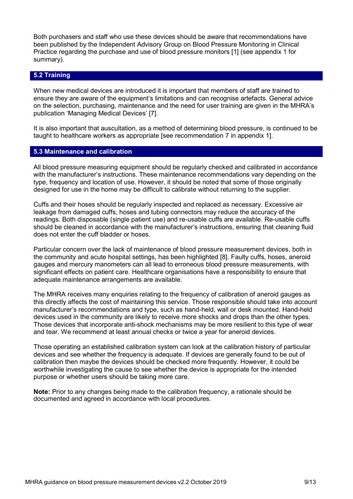Both purchasers and staff who use these devices should be aware that recommendations have been published by the Independent Advisory Group on Blood Pressure Monitoring in Clinical Practice regarding the purchase and use of blood pressure monitors [1] (see appendix 1 for summary).

#### 5.2 Training

When new medical devices are introduced it is important that members of staff are trained to ensure they are aware of the equipment's limitations and can recognise artefacts. General advice on the selection, purchasing, maintenance and the need for user training are given in the MHRA's publication 'Managing Medical Devices' [7].

It is also important that auscultation, as a method of determining blood pressure, is continued to be taught to healthcare workers as appropriate [see recommendation 7 in appendix 1].

#### 5.3 Maintenance and calibration

All blood pressure measuring equipment should be regularly checked and calibrated in accordance with the manufacturer's instructions. These maintenance recommendations vary depending on the type, frequency and location of use. However, it should be noted that some of those originally designed for use in the home may be difficult to calibrate without returning to the supplier.

Cuffs and their hoses should be regularly inspected and replaced as necessary. Excessive air leakage from damaged cuffs, hoses and tubing connectors may reduce the accuracy of the readings. Both disposable (single patient use) and re-usable cuffs are available. Re-usable cuffs should be cleaned in accordance with the manufacturer's instructions, ensuring that cleaning fluid does not enter the cuff bladder or hoses.

Particular concern over the lack of maintenance of blood pressure measurement devices, both in the community and acute hospital settings, has been highlighted [8]. Faulty cuffs, hoses, aneroid gauges and mercury manometers can all lead to erroneous blood pressure measurements, with significant effects on patient care. Healthcare organisations have a responsibility to ensure that adequate maintenance arrangements are available.

The MHRA receives many enquiries relating to the frequency of calibration of aneroid gauges as this directly affects the cost of maintaining this service. Those responsible should take into account manufacturer's recommendations and type, such as hand-held, wall or desk mounted. Hand-held devices used in the community are likely to receive more shocks and drops than the other types. Those devices that incorporate anti-shock mechanisms may be more resilient to this type of wear and tear. We recommend at least annual checks or twice a year for aneroid devices.

Those operating an established calibration system can look at the calibration history of particular devices and see whether the frequency is adequate. If devices are generally found to be out of calibration then maybe the devices should be checked more frequently. However, it could be worthwhile investigating the cause to see whether the device is appropriate for the intended purpose or whether users should be taking more care.

Note: Prior to any changes being made to the calibration frequency, a rationale should be documented and agreed in accordance with local procedures.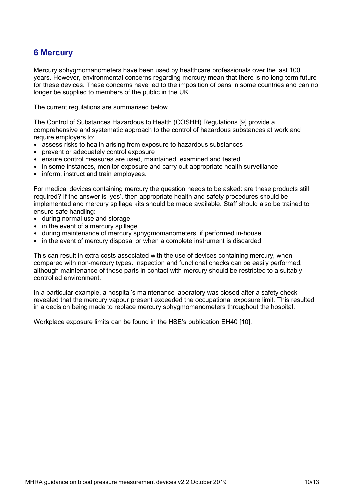# 6 Mercury

Mercury sphygmomanometers have been used by healthcare professionals over the last 100 years. However, environmental concerns regarding mercury mean that there is no long-term future for these devices. These concerns have led to the imposition of bans in some countries and can no longer be supplied to members of the public in the UK.

The current regulations are summarised below.

The Control of Substances Hazardous to Health (COSHH) Regulations [9] provide a comprehensive and systematic approach to the control of hazardous substances at work and require employers to:

- assess risks to health arising from exposure to hazardous substances
- prevent or adequately control exposure
- ensure control measures are used, maintained, examined and tested
- in some instances, monitor exposure and carry out appropriate health surveillance
- inform, instruct and train employees.

For medical devices containing mercury the question needs to be asked: are these products still required? If the answer is 'yes', then appropriate health and safety procedures should be implemented and mercury spillage kits should be made available. Staff should also be trained to ensure safe handling:

- during normal use and storage
- in the event of a mercury spillage
- during maintenance of mercury sphygmomanometers, if performed in-house
- in the event of mercury disposal or when a complete instrument is discarded.

This can result in extra costs associated with the use of devices containing mercury, when compared with non-mercury types. Inspection and functional checks can be easily performed, although maintenance of those parts in contact with mercury should be restricted to a suitably controlled environment.

In a particular example, a hospital's maintenance laboratory was closed after a safety check revealed that the mercury vapour present exceeded the occupational exposure limit. This resulted in a decision being made to replace mercury sphygmomanometers throughout the hospital.

Workplace exposure limits can be found in the HSE's publication EH40 [10].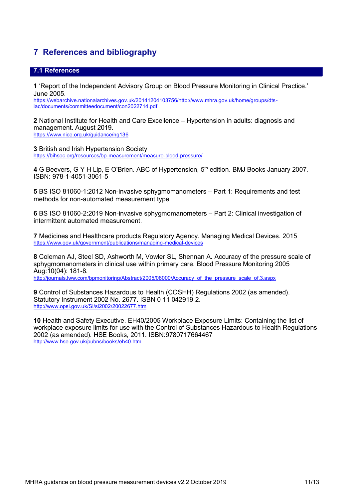# 7 References and bibliography

#### 7.1 References

1 'Report of the Independent Advisory Group on Blood Pressure Monitoring in Clinical Practice.' June 2005.

https://webarchive.nationalarchives.gov.uk/20141204103756/http://www.mhra.gov.uk/home/groups/dts iac/documents/committeedocument/con2022714.pdf

2 National Institute for Health and Care Excellence – Hypertension in adults: diagnosis and management. August 2019. https://www.nice.org.uk/guidance/ng136

3 British and Irish Hypertension Society https://bihsoc.org/resources/bp-measurement/measure-blood-pressure/

4 G Beevers, G Y H Lip, E O'Brien. ABC of Hypertension, 5<sup>th</sup> edition. BMJ Books January 2007. ISBN: 978-1-4051-3061-5

5 BS ISO 81060-1:2012 Non-invasive sphygmomanometers – Part 1: Requirements and test methods for non-automated measurement type

6 BS ISO 81060-2:2019 Non-invasive sphygmomanometers – Part 2: Clinical investigation of intermittent automated measurement.

7 Medicines and Healthcare products Regulatory Agency. Managing Medical Devices. 2015 https://www.gov.uk/government/publications/managing-medical-devices

8 Coleman AJ, Steel SD, Ashworth M, Vowler SL, Shennan A. Accuracy of the pressure scale of sphygmomanometers in clinical use within primary care. Blood Pressure Monitoring 2005 Aug:10(04): 181-8. http://journals.lww.com/bpmonitoring/Abstract/2005/08000/Accuracy\_of\_the\_pressure\_scale\_of.3.aspx

9 Control of Substances Hazardous to Health (COSHH) Regulations 2002 (as amended). Statutory Instrument 2002 No. 2677. ISBN 0 11 042919 2. http://www.opsi.gov.uk/SI/si2002/20022677.htm

10 Health and Safety Executive. EH40/2005 Workplace Exposure Limits: Containing the list of workplace exposure limits for use with the Control of Substances Hazardous to Health Regulations 2002 (as amended). HSE Books, 2011. ISBN:9780717664467 http://www.hse.gov.uk/pubns/books/eh40.htm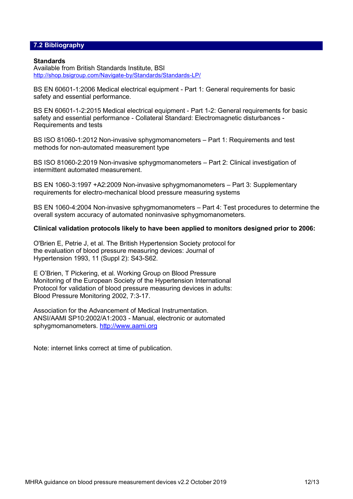#### 7.2 Bibliography

#### **Standards**

Available from British Standards Institute, BSI http://shop.bsigroup.com/Navigate-by/Standards/Standards-LP/

BS EN 60601-1:2006 Medical electrical equipment - Part 1: General requirements for basic safety and essential performance.

BS EN 60601-1-2:2015 Medical electrical equipment - Part 1-2: General requirements for basic safety and essential performance - Collateral Standard: Electromagnetic disturbances - Requirements and tests

BS ISO 81060-1:2012 Non-invasive sphygmomanometers – Part 1: Requirements and test methods for non-automated measurement type

BS ISO 81060-2:2019 Non-invasive sphygmomanometers – Part 2: Clinical investigation of intermittent automated measurement.

BS EN 1060-3:1997 +A2:2009 Non-invasive sphygmomanometers – Part 3: Supplementary requirements for electro-mechanical blood pressure measuring systems

BS EN 1060-4:2004 Non-invasive sphygmomanometers – Part 4: Test procedures to determine the overall system accuracy of automated noninvasive sphygmomanometers.

#### Clinical validation protocols likely to have been applied to monitors designed prior to 2006:

O'Brien E, Petrie J, et al. The British Hypertension Society protocol for the evaluation of blood pressure measuring devices: Journal of Hypertension 1993, 11 (Suppl 2): S43-S62.

E O'Brien, T Pickering, et al. Working Group on Blood Pressure Monitoring of the European Society of the Hypertension International Protocol for validation of blood pressure measuring devices in adults: Blood Pressure Monitoring 2002, 7:3-17.

Association for the Advancement of Medical Instrumentation. ANSI/AAMI SP10:2002/A1:2003 - Manual, electronic or automated sphygmomanometers. http://www.aami.org

Note: internet links correct at time of publication.